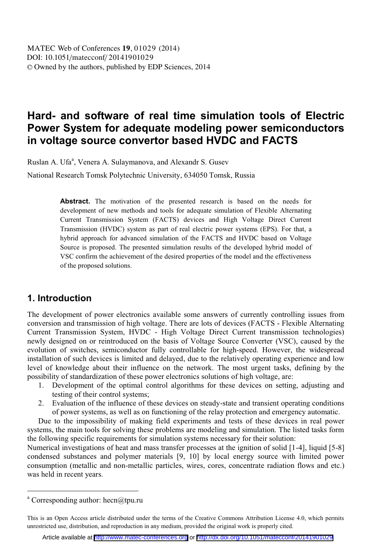# **Hard- and software of real time simulation tools of Electric Power System for adequate modeling power semiconductors in voltage source convertor based HVDC and FACTS**

Ruslan A. Ufa<sup>a</sup>, Venera A. Sulaymanova, and Alexandr S. Gusev

National Research Tomsk Polytechnic University, 634050 Tomsk, Russia

Abstract. The motivation of the presented research is based on the needs for development of new methods and tools for adequate simulation of Flexible Alternating Current Transmission System (FACTS) devices and High Voltage Direct Current Transmission (HVDC) system as part of real electric power systems (EPS). For that, a hybrid approach for advanced simulation of the FACTS and HVDC based on Voltage Source is proposed. The presented simulation results of the developed hybrid model of VSC confirm the achievement of the desired properties of the model and the effectiveness of the proposed solutions.

#### **1. Introduction**

The development of power electronics available some answers of currently controlling issues from conversion and transmission of high voltage. There are lots of devices (FACTS - Flexible Alternating Current Transmission System, HVDC - High Voltage Direct Current transmission technologies) newly designed on or reintroduced on the basis of Voltage Source Converter (VSC), caused by the evolution of switches, semiconductor fully controllable for high-speed. However, the widespread installation of such devices is limited and delayed, due to the relatively operating experience and low level of knowledge about their influence on the network. The most urgent tasks, defining by the possibility of standardization of these power electronics solutions of high voltage, are:

- 1. Development of the optimal control algorithms for these devices on setting, adjusting and testing of their control systems;
- 2. Evaluation of the influence of these devices on steady-state and transient operating conditions of power systems, as well as on functioning of the relay protection and emergency automatic.

Due to the impossibility of making field experiments and tests of these devices in real power systems, the main tools for solving these problems are modeling and simulation. The listed tasks form the following specific requirements for simulation systems necessary for their solution:

Numerical investigations of heat and mass transfer processes at the ignition of solid [1-4], liquid [5-8] condensed substances and polymer materials [9, 10] by local energy source with limited power consumption (metallic and non-metallic particles, wires, cores, concentrate radiation flows and etc.) was held in recent years.

 $\overline{a}$ 

<sup>&</sup>lt;sup>a</sup> Corresponding author: hecn@tpu.ru

This is an Open Access article distributed under the terms of the Creative Commons Attribution License 4.0, which permits unrestricted use, distribution, and reproduction in any medium, provided the original work is properly cited.

Article available at <http://www.matec-conferences.org> or <http://dx.doi.org/10.1051/matecconf/20141901029>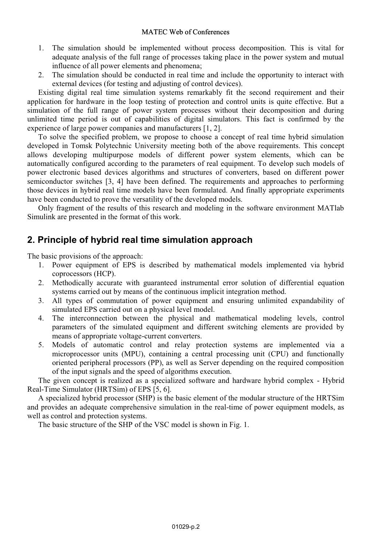- 1. The simulation should be implemented without process decomposition. This is vital for adequate analysis of the full range of processes taking place in the power system and mutual influence of all power elements and phenomena;
- 2. The simulation should be conducted in real time and include the opportunity to interact with external devices (for testing and adjusting of control devices).

Existing digital real time simulation systems remarkably fit the second requirement and their application for hardware in the loop testing of protection and control units is quite effective. But a simulation of the full range of power system processes without their decomposition and during unlimited time period is out of capabilities of digital simulators. This fact is confirmed by the experience of large power companies and manufacturers [1, 2].

To solve the specified problem, we propose to choose a concept of real time hybrid simulation developed in Tomsk Polytechnic University meeting both of the above requirements. This concept allows developing multipurpose models of different power system elements, which can be automatically configured according to the parameters of real equipment. To develop such models of power electronic based devices algorithms and structures of converters, based on different power semiconductor switches [3, 4] have been defined. The requirements and approaches to performing those devices in hybrid real time models have been formulated. And finally appropriate experiments have been conducted to prove the versatility of the developed models.

Only fragment of the results of this research and modeling in the software environment MATlab Simulink are presented in the format of this work.

## **2. Principle of hybrid real time simulation approach**

The basic provisions of the approach:

- 1. Power equipment of EPS is described by mathematical models implemented via hybrid coprocessors (HCP).
- 2. Methodically accurate with guaranteed instrumental error solution of differential equation systems carried out by means of the continuous implicit integration method.
- 3. All types of commutation of power equipment and ensuring unlimited expandability of simulated EPS carried out on a physical level model.
- 4. The interconnection between the physical and mathematical modeling levels, control parameters of the simulated equipment and different switching elements are provided by means of appropriate voltage-current converters.
- 5. Models of automatic control and relay protection systems are implemented via a microprocessor units (MPU), containing a central processing unit (CPU) and functionally oriented peripheral processors (PP), as well as Server depending on the required composition of the input signals and the speed of algorithms execution.

The given concept is realized as a specialized software and hardware hybrid complex - Hybrid Real-Time Simulator (HRTSim) of EPS [5, 6].

A specialized hybrid processor (SHP) is the basic element of the modular structure of the HRTSim and provides an adequate comprehensive simulation in the real-time of power equipment models, as well as control and protection systems.

The basic structure of the SHP of the VSC model is shown in Fig. 1.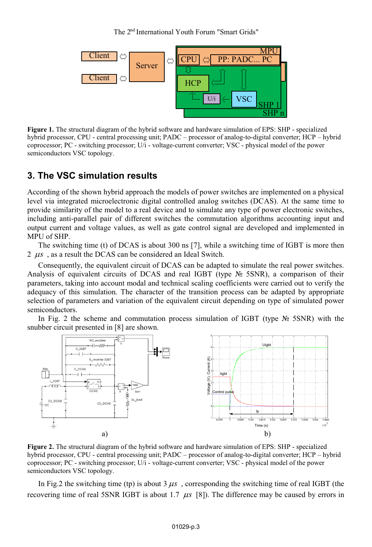The 2<sup>nd</sup> International Youth Forum "Smart Grids"



**Figure 1.** The structural diagram of the hybrid software and hardware simulation of EPS: SHP - specialized hybrid processor, CPU - central processing unit; PADC – processor of analog-to-digital converter; HCP – hybrid coprocessor; PC - switching processor; U/i - voltage-current converter; VSC - physical model of the power semiconductors VSC topology.

#### **3. The VSC simulation results**

According of the shown hybrid approach the models of power switches are implemented on a physical level via integrated microelectronic digital controlled analog switches (DCAS). At the same time to provide similarity of the model to a real device and to simulate any type of power electronic switches, including anti-parallel pair of different switches the commutation algorithms accounting input and output current and voltage values, as well as gate control signal are developed and implemented in MPU of SHP.

The switching time (t) of DCAS is about 300 ns [7], while a switching time of IGBT is more then  $2 \mu s$ , as a result the DCAS can be considered an Ideal Switch.

Consequently, the equivalent circuit of DCAS can be adapted to simulate the real power switches. Analysis of equivalent circuits of DCAS and real IGBT (type № 5SNR), a comparison of their parameters, taking into account modal and technical scaling coefficients were carried out to verify the adequacy of this simulation. The character of the transition process can be adapted by appropriate selection of parameters and variation of the equivalent circuit depending on type of simulated power semiconductors.

In Fig. 2 the scheme and commutation process simulation of IGBT (type  $\mathcal{N}_2$  5SNR) with the snubber circuit presented in [8] are shown.



**Figure 2.** The structural diagram of the hybrid software and hardware simulation of EPS: SHP - specialized hybrid processor, CPU - central processing unit; PADC – processor of analog-to-digital converter; HCP – hybrid coprocessor; PC - switching processor; U/i - voltage-current converter; VSC - physical model of the power semiconductors VSC topology.

In Fig.2 the switching time (tp) is about  $3 \mu s$ , corresponding the switching time of real IGBT (the recovering time of real 5SNR IGBT is about 1.7  $\mu s$  [8]). The difference may be caused by errors in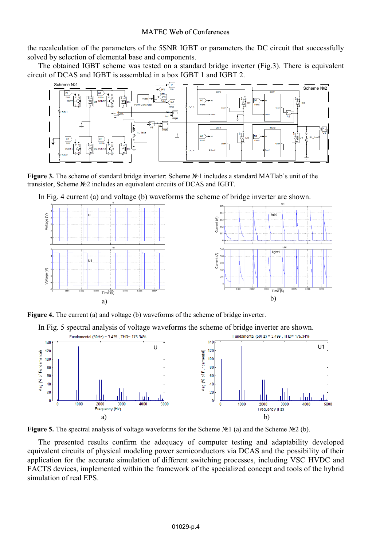the recalculation of the parameters of the 5SNR IGBT or parameters the DC circuit that successfully solved by selection of elemental base and components.

The obtained IGBT scheme was tested on a standard bridge inverter (Fig.3). There is equivalent circuit of DCAS and IGBT is assembled in a box IGBT 1 and IGBT 2.



**Figure 3.** The scheme of standard bridge inverter: Scheme №1 includes a standard MATlab`s unit of the transistor, Scheme №2 includes an equivalent circuits of DCAS and IGBT.

In Fig. 4 current (a) and voltage (b) waveforms the scheme of bridge inverter are shown.





In Fig. 5 spectral analysis of voltage waveforms the scheme of bridge inverter are shown.





The presented results confirm the adequacy of computer testing and adaptability developed equivalent circuits of physical modeling power semiconductors via DCAS and the possibility of their application for the accurate simulation of different switching processes, including VSC HVDC and FACTS devices, implemented within the framework of the specialized concept and tools of the hybrid simulation of real EPS.